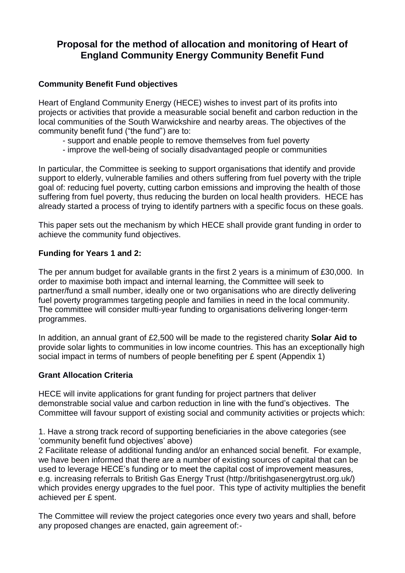# **Proposal for the method of allocation and monitoring of Heart of England Community Energy Community Benefit Fund**

## **Community Benefit Fund objectives**

Heart of England Community Energy (HECE) wishes to invest part of its profits into projects or activities that provide a measurable social benefit and carbon reduction in the local communities of the South Warwickshire and nearby areas. The objectives of the community benefit fund ("the fund") are to:

- support and enable people to remove themselves from fuel poverty
- improve the well-being of socially disadvantaged people or communities

In particular, the Committee is seeking to support organisations that identify and provide support to elderly, vulnerable families and others suffering from fuel poverty with the triple goal of: reducing fuel poverty, cutting carbon emissions and improving the health of those suffering from fuel poverty, thus reducing the burden on local health providers. HECE has already started a process of trying to identify partners with a specific focus on these goals.

This paper sets out the mechanism by which HECE shall provide grant funding in order to achieve the community fund objectives.

#### **Funding for Years 1 and 2:**

The per annum budget for available grants in the first 2 years is a minimum of £30,000. In order to maximise both impact and internal learning, the Committee will seek to partner/fund a small number, ideally one or two organisations who are directly delivering fuel poverty programmes targeting people and families in need in the local community. The committee will consider multi-year funding to organisations delivering longer-term programmes.

In addition, an annual grant of £2,500 will be made to the registered charity **Solar Aid to** provide solar lights to communities in low income countries. This has an exceptionally high social impact in terms of numbers of people benefiting per £ spent (Appendix 1)

## **Grant Allocation Criteria**

HECE will invite applications for grant funding for project partners that deliver demonstrable social value and carbon reduction in line with the fund's objectives. The Committee will favour support of existing social and community activities or projects which:

1. Have a strong track record of supporting beneficiaries in the above categories (see 'community benefit fund objectives' above)

2 Facilitate release of additional funding and/or an enhanced social benefit. For example, we have been informed that there are a number of existing sources of capital that can be used to leverage HECE's funding or to meet the capital cost of improvement measures, e.g. increasing referrals to British Gas Energy Trust (http://britishgasenergytrust.org.uk/) which provides energy upgrades to the fuel poor. This type of activity multiplies the benefit achieved per £ spent.

The Committee will review the project categories once every two years and shall, before any proposed changes are enacted, gain agreement of:-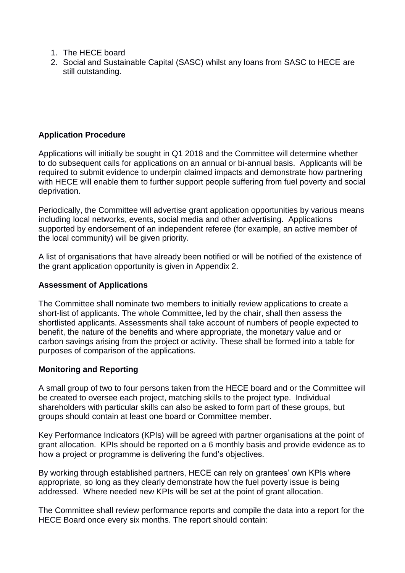- 1. The HECE board
- 2. Social and Sustainable Capital (SASC) whilst any loans from SASC to HECE are still outstanding.

## **Application Procedure**

Applications will initially be sought in Q1 2018 and the Committee will determine whether to do subsequent calls for applications on an annual or bi-annual basis. Applicants will be required to submit evidence to underpin claimed impacts and demonstrate how partnering with HECE will enable them to further support people suffering from fuel poverty and social deprivation.

Periodically, the Committee will advertise grant application opportunities by various means including local networks, events, social media and other advertising. Applications supported by endorsement of an independent referee (for example, an active member of the local community) will be given priority.

A list of organisations that have already been notified or will be notified of the existence of the grant application opportunity is given in Appendix 2.

#### **Assessment of Applications**

The Committee shall nominate two members to initially review applications to create a short-list of applicants. The whole Committee, led by the chair, shall then assess the shortlisted applicants. Assessments shall take account of numbers of people expected to benefit, the nature of the benefits and where appropriate, the monetary value and or carbon savings arising from the project or activity. These shall be formed into a table for purposes of comparison of the applications.

#### **Monitoring and Reporting**

A small group of two to four persons taken from the HECE board and or the Committee will be created to oversee each project, matching skills to the project type. Individual shareholders with particular skills can also be asked to form part of these groups, but groups should contain at least one board or Committee member.

Key Performance Indicators (KPIs) will be agreed with partner organisations at the point of grant allocation. KPIs should be reported on a 6 monthly basis and provide evidence as to how a project or programme is delivering the fund's objectives.

By working through established partners, HECE can rely on grantees' own KPIs where appropriate, so long as they clearly demonstrate how the fuel poverty issue is being addressed. Where needed new KPIs will be set at the point of grant allocation.

The Committee shall review performance reports and compile the data into a report for the HECE Board once every six months. The report should contain: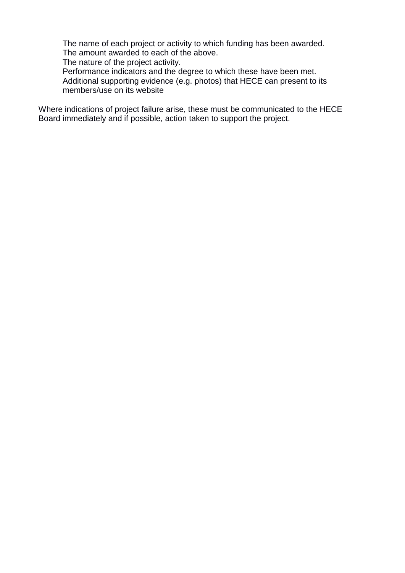The name of each project or activity to which funding has been awarded. The amount awarded to each of the above.

The nature of the project activity.

Performance indicators and the degree to which these have been met. Additional supporting evidence (e.g. photos) that HECE can present to its members/use on its website

Where indications of project failure arise, these must be communicated to the HECE Board immediately and if possible, action taken to support the project.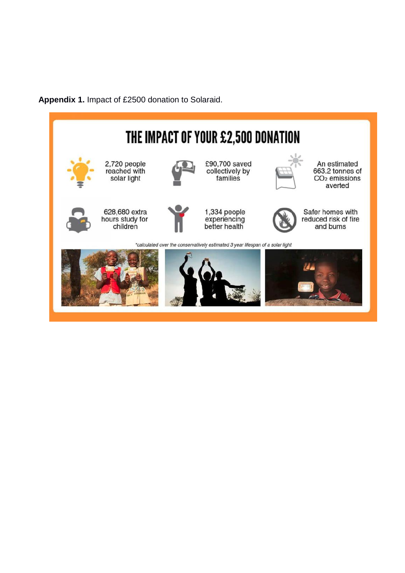